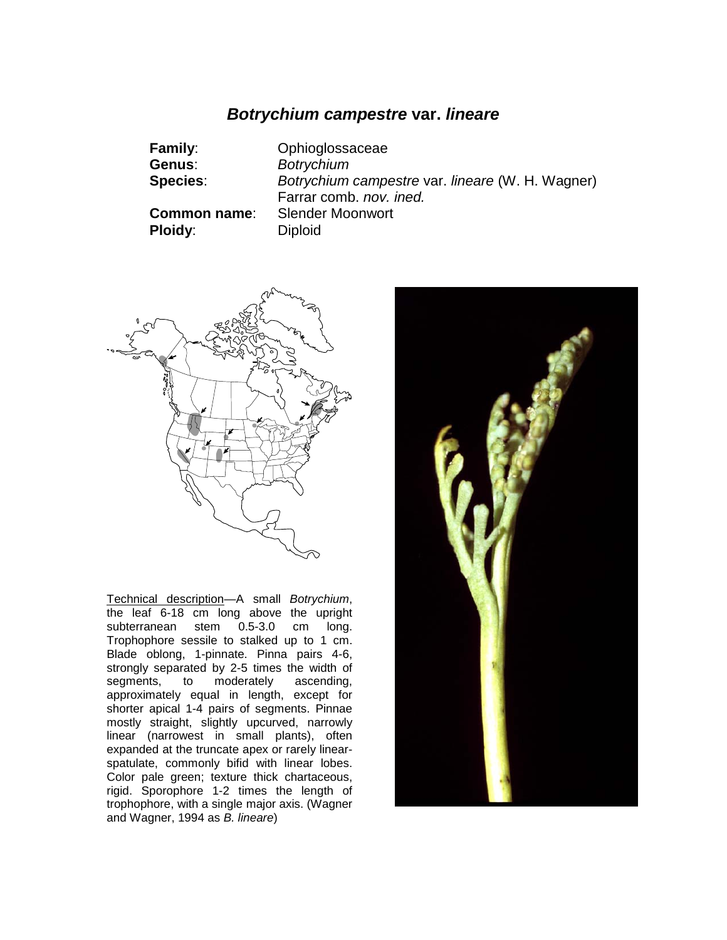# *Botrychium campestre* **var.** *lineare*

| <b>Family:</b><br>Genus:              | Ophioglossaceae<br><b>Botrychium</b>                                 |
|---------------------------------------|----------------------------------------------------------------------|
| <b>Species:</b>                       | Botrychium campestre var. lineare (W. H. Wagner)                     |
| <b>Common name:</b><br><b>Ploidy:</b> | Farrar comb. nov. ined.<br><b>Slender Moonwort</b><br><b>Diploid</b> |



Technical description—A small *Botrychium*, the leaf 6-18 cm long above the upright subterranean stem 0.5-3.0 cm long. Trophophore sessile to stalked up to 1 cm. Blade oblong, 1-pinnate. Pinna pairs 4-6, strongly separated by 2-5 times the width of segments, to moderately ascending, approximately equal in length, except for shorter apical 1-4 pairs of segments. Pinnae mostly straight, slightly upcurved, narrowly linear (narrowest in small plants), often expanded at the truncate apex or rarely linearspatulate, commonly bifid with linear lobes. Color pale green; texture thick chartaceous, rigid. Sporophore 1-2 times the length of trophophore, with a single major axis. (Wagner and Wagner, 1994 as *B. lineare*)

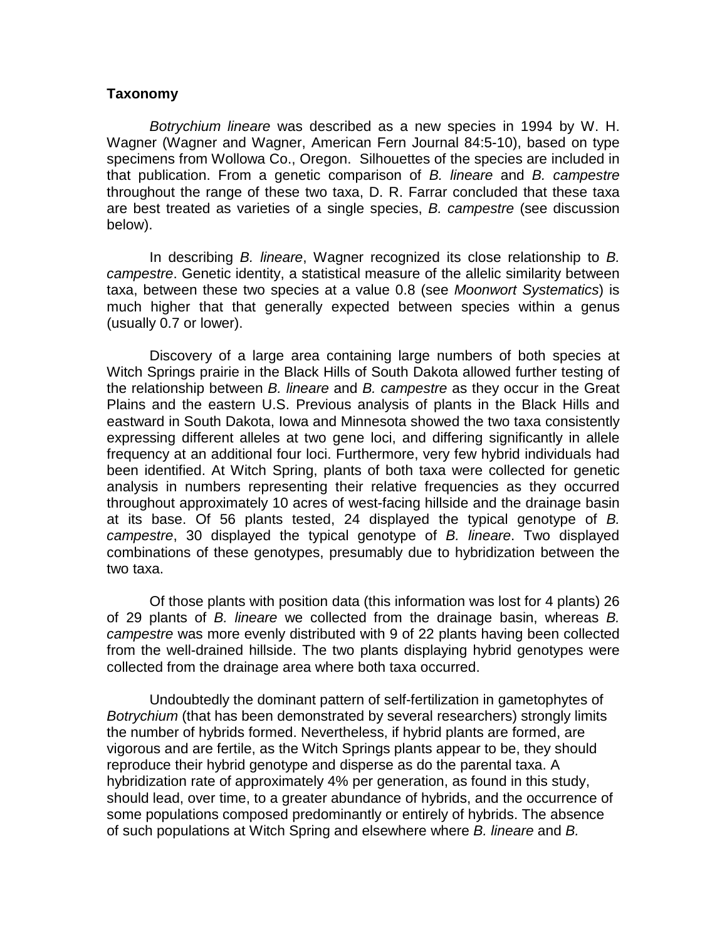### **Taxonomy**

*Botrychium lineare* was described as a new species in 1994 by W. H. Wagner (Wagner and Wagner, American Fern Journal 84:5-10), based on type specimens from Wollowa Co., Oregon. Silhouettes of the species are included in that publication. From a genetic comparison of *B. lineare* and *B. campestre* throughout the range of these two taxa, D. R. Farrar concluded that these taxa are best treated as varieties of a single species, *B. campestre* (see discussion below).

In describing *B. lineare*, Wagner recognized its close relationship to *B. campestre*. Genetic identity, a statistical measure of the allelic similarity between taxa, between these two species at a value 0.8 (see *Moonwort Systematics*) is much higher that that generally expected between species within a genus (usually 0.7 or lower).

Discovery of a large area containing large numbers of both species at Witch Springs prairie in the Black Hills of South Dakota allowed further testing of the relationship between *B. lineare* and *B. campestre* as they occur in the Great Plains and the eastern U.S. Previous analysis of plants in the Black Hills and eastward in South Dakota, Iowa and Minnesota showed the two taxa consistently expressing different alleles at two gene loci, and differing significantly in allele frequency at an additional four loci. Furthermore, very few hybrid individuals had been identified. At Witch Spring, plants of both taxa were collected for genetic analysis in numbers representing their relative frequencies as they occurred throughout approximately 10 acres of west-facing hillside and the drainage basin at its base. Of 56 plants tested, 24 displayed the typical genotype of *B. campestre*, 30 displayed the typical genotype of *B. lineare*. Two displayed combinations of these genotypes, presumably due to hybridization between the two taxa.

Of those plants with position data (this information was lost for 4 plants) 26 of 29 plants of *B. lineare* we collected from the drainage basin, whereas *B. campestre* was more evenly distributed with 9 of 22 plants having been collected from the well-drained hillside. The two plants displaying hybrid genotypes were collected from the drainage area where both taxa occurred.

Undoubtedly the dominant pattern of self-fertilization in gametophytes of *Botrychium* (that has been demonstrated by several researchers) strongly limits the number of hybrids formed. Nevertheless, if hybrid plants are formed, are vigorous and are fertile, as the Witch Springs plants appear to be, they should reproduce their hybrid genotype and disperse as do the parental taxa. A hybridization rate of approximately 4% per generation, as found in this study, should lead, over time, to a greater abundance of hybrids, and the occurrence of some populations composed predominantly or entirely of hybrids. The absence of such populations at Witch Spring and elsewhere where *B. lineare* and *B.*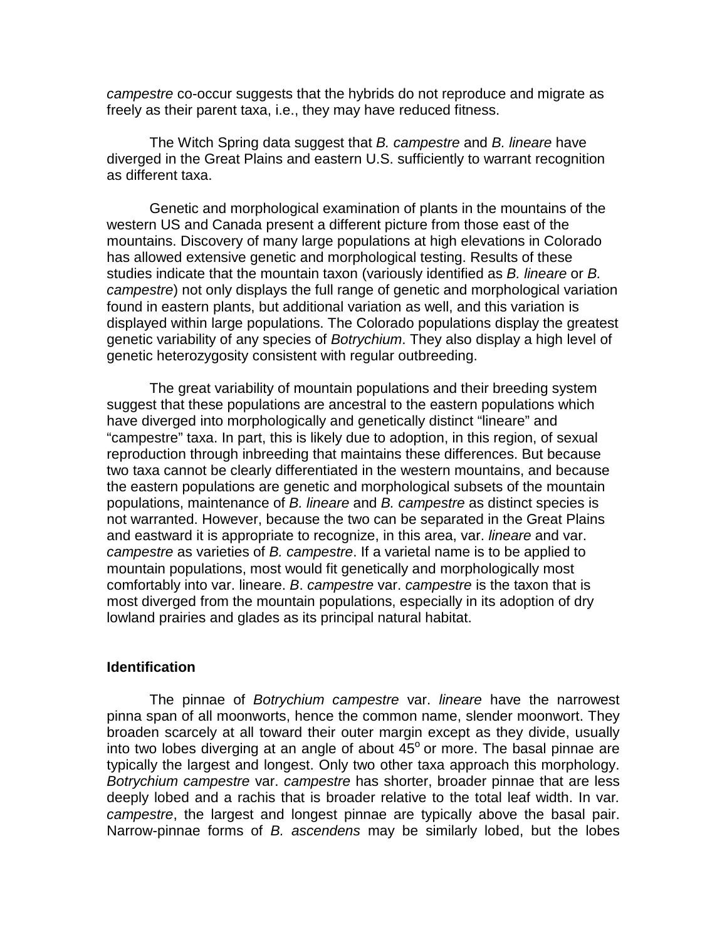*campestre* co-occur suggests that the hybrids do not reproduce and migrate as freely as their parent taxa, i.e., they may have reduced fitness.

The Witch Spring data suggest that *B. campestre* and *B. lineare* have diverged in the Great Plains and eastern U.S. sufficiently to warrant recognition as different taxa.

Genetic and morphological examination of plants in the mountains of the western US and Canada present a different picture from those east of the mountains. Discovery of many large populations at high elevations in Colorado has allowed extensive genetic and morphological testing. Results of these studies indicate that the mountain taxon (variously identified as *B. lineare* or *B. campestre*) not only displays the full range of genetic and morphological variation found in eastern plants, but additional variation as well, and this variation is displayed within large populations. The Colorado populations display the greatest genetic variability of any species of *Botrychium*. They also display a high level of genetic heterozygosity consistent with regular outbreeding.

The great variability of mountain populations and their breeding system suggest that these populations are ancestral to the eastern populations which have diverged into morphologically and genetically distinct "lineare" and "campestre" taxa. In part, this is likely due to adoption, in this region, of sexual reproduction through inbreeding that maintains these differences. But because two taxa cannot be clearly differentiated in the western mountains, and because the eastern populations are genetic and morphological subsets of the mountain populations, maintenance of *B. lineare* and *B. campestre* as distinct species is not warranted. However, because the two can be separated in the Great Plains and eastward it is appropriate to recognize, in this area, var. *lineare* and var. *campestre* as varieties of *B. campestre*. If a varietal name is to be applied to mountain populations, most would fit genetically and morphologically most comfortably into var. lineare. *B*. *campestre* var. *campestre* is the taxon that is most diverged from the mountain populations, especially in its adoption of dry lowland prairies and glades as its principal natural habitat.

## **Identification**

The pinnae of *Botrychium campestre* var. *lineare* have the narrowest pinna span of all moonworts, hence the common name, slender moonwort. They broaden scarcely at all toward their outer margin except as they divide, usually into two lobes diverging at an angle of about  $45^{\circ}$  or more. The basal pinnae are typically the largest and longest. Only two other taxa approach this morphology. *Botrychium campestre* var. *campestre* has shorter, broader pinnae that are less deeply lobed and a rachis that is broader relative to the total leaf width. In var*. campestre*, the largest and longest pinnae are typically above the basal pair. Narrow-pinnae forms of *B. ascendens* may be similarly lobed, but the lobes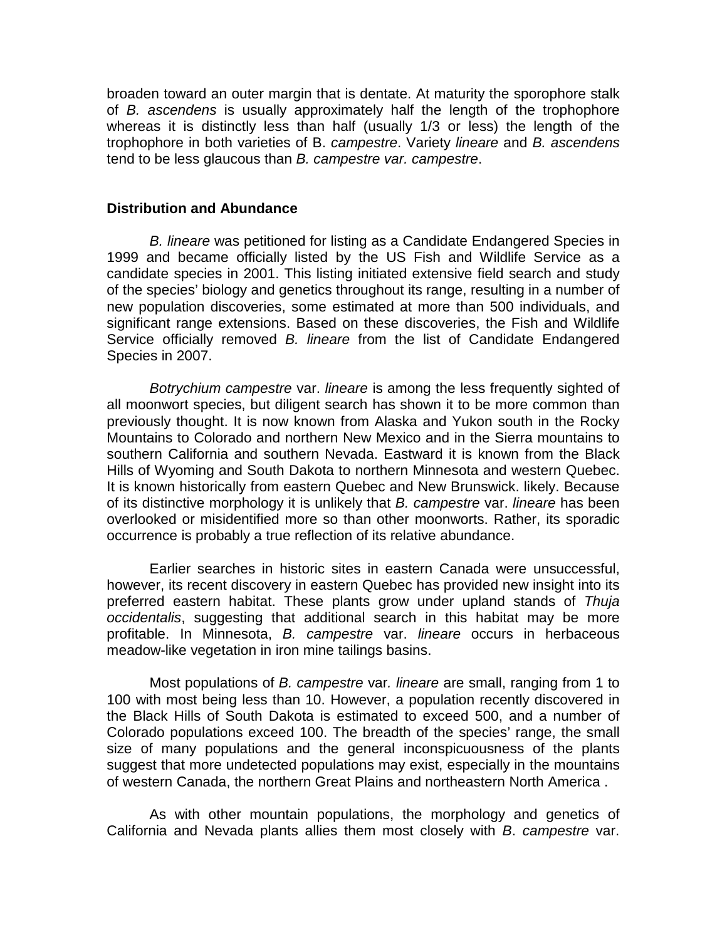broaden toward an outer margin that is dentate. At maturity the sporophore stalk of *B. ascendens* is usually approximately half the length of the trophophore whereas it is distinctly less than half (usually 1/3 or less) the length of the trophophore in both varieties of B. *campestre*. Variety *lineare* and *B. ascendens* tend to be less glaucous than *B. campestre var. campestre*.

### **Distribution and Abundance**

*B. lineare* was petitioned for listing as a Candidate Endangered Species in 1999 and became officially listed by the US Fish and Wildlife Service as a candidate species in 2001. This listing initiated extensive field search and study of the species' biology and genetics throughout its range, resulting in a number of new population discoveries, some estimated at more than 500 individuals, and significant range extensions. Based on these discoveries, the Fish and Wildlife Service officially removed *B. lineare* from the list of Candidate Endangered Species in 2007.

*Botrychium campestre* var. *lineare* is among the less frequently sighted of all moonwort species, but diligent search has shown it to be more common than previously thought. It is now known from Alaska and Yukon south in the Rocky Mountains to Colorado and northern New Mexico and in the Sierra mountains to southern California and southern Nevada. Eastward it is known from the Black Hills of Wyoming and South Dakota to northern Minnesota and western Quebec. It is known historically from eastern Quebec and New Brunswick. likely. Because of its distinctive morphology it is unlikely that *B. campestre* var. *lineare* has been overlooked or misidentified more so than other moonworts. Rather, its sporadic occurrence is probably a true reflection of its relative abundance.

Earlier searches in historic sites in eastern Canada were unsuccessful, however, its recent discovery in eastern Quebec has provided new insight into its preferred eastern habitat. These plants grow under upland stands of *Thuja occidentalis*, suggesting that additional search in this habitat may be more profitable. In Minnesota, *B. campestre* var. *lineare* occurs in herbaceous meadow-like vegetation in iron mine tailings basins.

Most populations of *B. campestre* var*. lineare* are small, ranging from 1 to 100 with most being less than 10. However, a population recently discovered in the Black Hills of South Dakota is estimated to exceed 500, and a number of Colorado populations exceed 100. The breadth of the species' range, the small size of many populations and the general inconspicuousness of the plants suggest that more undetected populations may exist, especially in the mountains of western Canada, the northern Great Plains and northeastern North America .

As with other mountain populations, the morphology and genetics of California and Nevada plants allies them most closely with *B*. *campestre* var.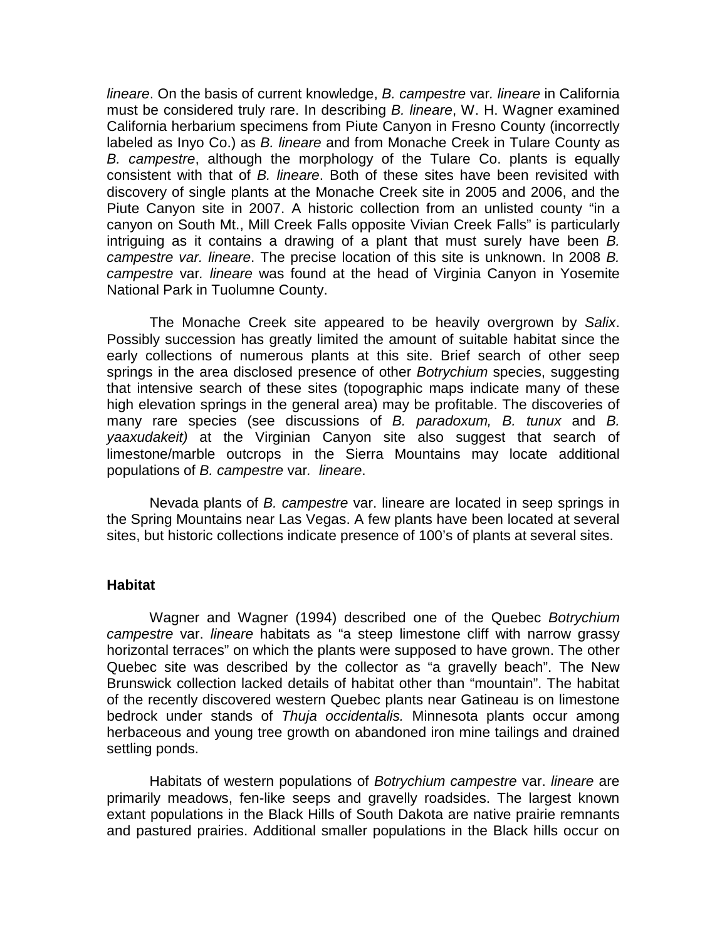*lineare*. On the basis of current knowledge, *B. campestre* var*. lineare* in California must be considered truly rare. In describing *B. lineare*, W. H. Wagner examined California herbarium specimens from Piute Canyon in Fresno County (incorrectly labeled as Inyo Co.) as *B. lineare* and from Monache Creek in Tulare County as *B. campestre*, although the morphology of the Tulare Co. plants is equally consistent with that of *B. lineare*. Both of these sites have been revisited with discovery of single plants at the Monache Creek site in 2005 and 2006, and the Piute Canyon site in 2007. A historic collection from an unlisted county "in a canyon on South Mt., Mill Creek Falls opposite Vivian Creek Falls" is particularly intriguing as it contains a drawing of a plant that must surely have been *B. campestre var. lineare*. The precise location of this site is unknown. In 2008 *B. campestre* var*. lineare* was found at the head of Virginia Canyon in Yosemite National Park in Tuolumne County.

The Monache Creek site appeared to be heavily overgrown by *Salix*. Possibly succession has greatly limited the amount of suitable habitat since the early collections of numerous plants at this site. Brief search of other seep springs in the area disclosed presence of other *Botrychium* species, suggesting that intensive search of these sites (topographic maps indicate many of these high elevation springs in the general area) may be profitable. The discoveries of many rare species (see discussions of *B. paradoxum, B. tunux* and *B. yaaxudakeit)* at the Virginian Canyon site also suggest that search of limestone/marble outcrops in the Sierra Mountains may locate additional populations of *B. campestre* var*. lineare*.

Nevada plants of *B. campestre* var. lineare are located in seep springs in the Spring Mountains near Las Vegas. A few plants have been located at several sites, but historic collections indicate presence of 100's of plants at several sites.

## **Habitat**

Wagner and Wagner (1994) described one of the Quebec *Botrychium campestre* var. *lineare* habitats as "a steep limestone cliff with narrow grassy horizontal terraces" on which the plants were supposed to have grown. The other Quebec site was described by the collector as "a gravelly beach". The New Brunswick collection lacked details of habitat other than "mountain". The habitat of the recently discovered western Quebec plants near Gatineau is on limestone bedrock under stands of *Thuja occidentalis.* Minnesota plants occur among herbaceous and young tree growth on abandoned iron mine tailings and drained settling ponds.

Habitats of western populations of *Botrychium campestre* var. *lineare* are primarily meadows, fen-like seeps and gravelly roadsides. The largest known extant populations in the Black Hills of South Dakota are native prairie remnants and pastured prairies. Additional smaller populations in the Black hills occur on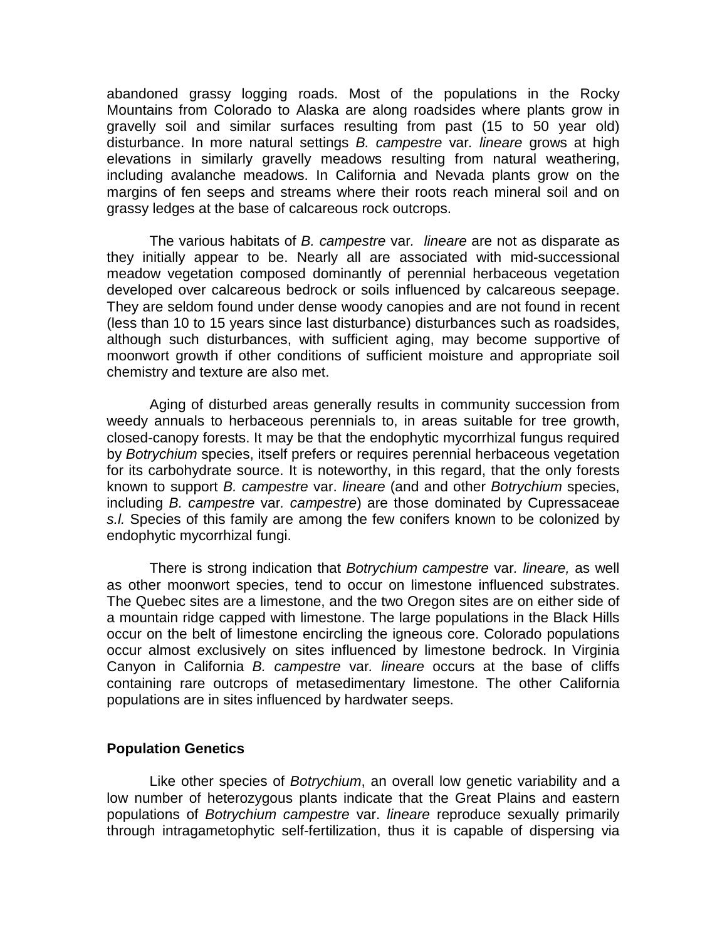abandoned grassy logging roads. Most of the populations in the Rocky Mountains from Colorado to Alaska are along roadsides where plants grow in gravelly soil and similar surfaces resulting from past (15 to 50 year old) disturbance. In more natural settings *B. campestre* var*. lineare* grows at high elevations in similarly gravelly meadows resulting from natural weathering, including avalanche meadows. In California and Nevada plants grow on the margins of fen seeps and streams where their roots reach mineral soil and on grassy ledges at the base of calcareous rock outcrops.

The various habitats of *B. campestre* var*. lineare* are not as disparate as they initially appear to be. Nearly all are associated with mid-successional meadow vegetation composed dominantly of perennial herbaceous vegetation developed over calcareous bedrock or soils influenced by calcareous seepage. They are seldom found under dense woody canopies and are not found in recent (less than 10 to 15 years since last disturbance) disturbances such as roadsides, although such disturbances, with sufficient aging, may become supportive of moonwort growth if other conditions of sufficient moisture and appropriate soil chemistry and texture are also met.

Aging of disturbed areas generally results in community succession from weedy annuals to herbaceous perennials to, in areas suitable for tree growth, closed-canopy forests. It may be that the endophytic mycorrhizal fungus required by *Botrychium* species, itself prefers or requires perennial herbaceous vegetation for its carbohydrate source. It is noteworthy, in this regard, that the only forests known to support *B. campestre* var. *lineare* (and and other *Botrychium* species, including *B. campestre* var*. campestre*) are those dominated by Cupressaceae *s.l.* Species of this family are among the few conifers known to be colonized by endophytic mycorrhizal fungi.

There is strong indication that *Botrychium campestre* var*. lineare,* as well as other moonwort species, tend to occur on limestone influenced substrates. The Quebec sites are a limestone, and the two Oregon sites are on either side of a mountain ridge capped with limestone. The large populations in the Black Hills occur on the belt of limestone encircling the igneous core. Colorado populations occur almost exclusively on sites influenced by limestone bedrock. In Virginia Canyon in California *B. campestre* var*. lineare* occurs at the base of cliffs containing rare outcrops of metasedimentary limestone. The other California populations are in sites influenced by hardwater seeps.

## **Population Genetics**

Like other species of *Botrychium*, an overall low genetic variability and a low number of heterozygous plants indicate that the Great Plains and eastern populations of *Botrychium campestre* var. *lineare* reproduce sexually primarily through intragametophytic self-fertilization, thus it is capable of dispersing via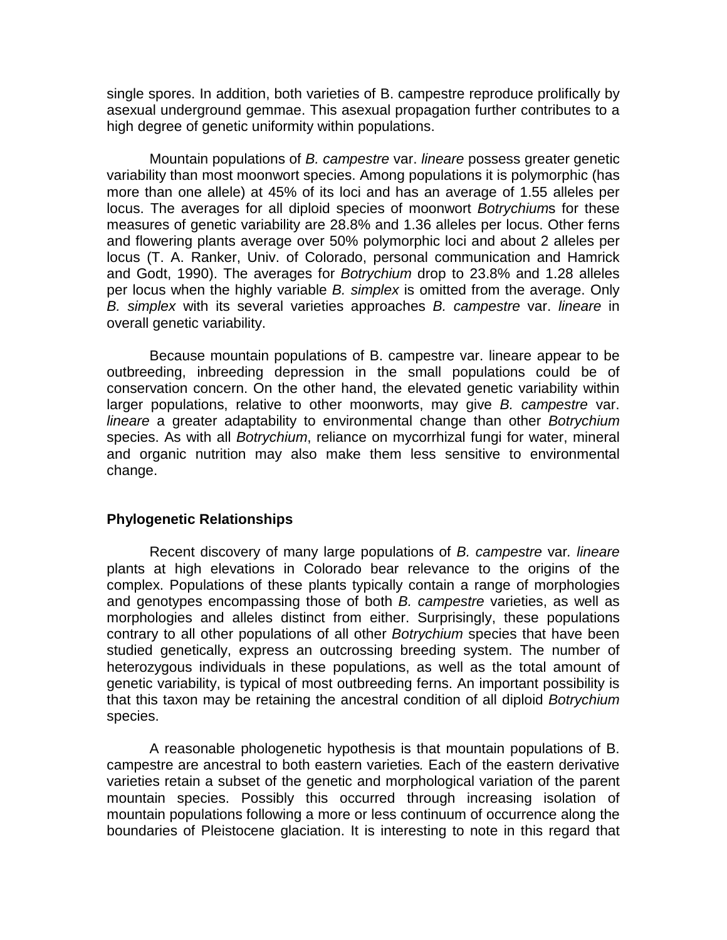single spores. In addition, both varieties of B. campestre reproduce prolifically by asexual underground gemmae. This asexual propagation further contributes to a high degree of genetic uniformity within populations.

Mountain populations of *B. campestre* var. *lineare* possess greater genetic variability than most moonwort species. Among populations it is polymorphic (has more than one allele) at 45% of its loci and has an average of 1.55 alleles per locus. The averages for all diploid species of moonwort *Botrychium*s for these measures of genetic variability are 28.8% and 1.36 alleles per locus. Other ferns and flowering plants average over 50% polymorphic loci and about 2 alleles per locus (T. A. Ranker, Univ. of Colorado, personal communication and Hamrick and Godt, 1990). The averages for *Botrychium* drop to 23.8% and 1.28 alleles per locus when the highly variable *B. simplex* is omitted from the average. Only *B. simplex* with its several varieties approaches *B. campestre* var. *lineare* in overall genetic variability.

Because mountain populations of B. campestre var. lineare appear to be outbreeding, inbreeding depression in the small populations could be of conservation concern. On the other hand, the elevated genetic variability within larger populations, relative to other moonworts, may give *B. campestre* var. *lineare* a greater adaptability to environmental change than other *Botrychium* species. As with all *Botrychium*, reliance on mycorrhizal fungi for water, mineral and organic nutrition may also make them less sensitive to environmental change.

#### **Phylogenetic Relationships**

Recent discovery of many large populations of *B. campestre* var*. lineare* plants at high elevations in Colorado bear relevance to the origins of the complex. Populations of these plants typically contain a range of morphologies and genotypes encompassing those of both *B. campestre* varieties, as well as morphologies and alleles distinct from either. Surprisingly, these populations contrary to all other populations of all other *Botrychium* species that have been studied genetically, express an outcrossing breeding system. The number of heterozygous individuals in these populations, as well as the total amount of genetic variability, is typical of most outbreeding ferns. An important possibility is that this taxon may be retaining the ancestral condition of all diploid *Botrychium* species.

A reasonable phologenetic hypothesis is that mountain populations of B. campestre are ancestral to both eastern varieties*.* Each of the eastern derivative varieties retain a subset of the genetic and morphological variation of the parent mountain species. Possibly this occurred through increasing isolation of mountain populations following a more or less continuum of occurrence along the boundaries of Pleistocene glaciation. It is interesting to note in this regard that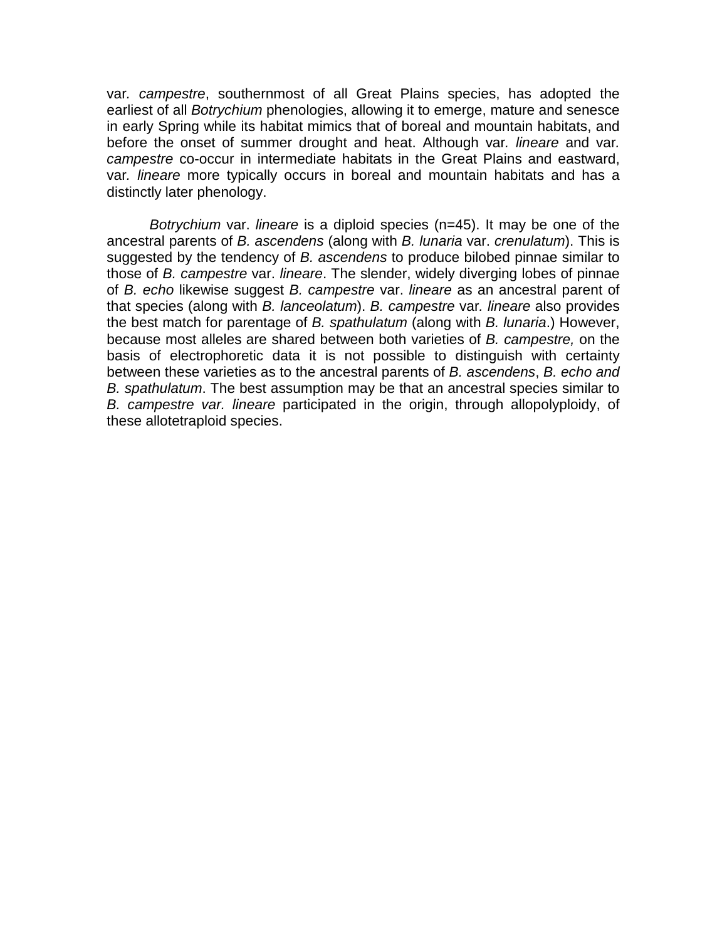var*. campestre*, southernmost of all Great Plains species, has adopted the earliest of all *Botrychium* phenologies, allowing it to emerge, mature and senesce in early Spring while its habitat mimics that of boreal and mountain habitats, and before the onset of summer drought and heat. Although var*. lineare* and var*. campestre* co-occur in intermediate habitats in the Great Plains and eastward, var*. lineare* more typically occurs in boreal and mountain habitats and has a distinctly later phenology.

*Botrychium* var. *lineare* is a diploid species (n=45). It may be one of the ancestral parents of *B. ascendens* (along with *B. lunaria* var. *crenulatum*). This is suggested by the tendency of *B. ascendens* to produce bilobed pinnae similar to those of *B. campestre* var. *lineare*. The slender, widely diverging lobes of pinnae of *B. echo* likewise suggest *B. campestre* var. *lineare* as an ancestral parent of that species (along with *B. lanceolatum*). *B. campestre* var*. lineare* also provides the best match for parentage of *B. spathulatum* (along with *B. lunaria*.) However, because most alleles are shared between both varieties of *B. campestre,* on the basis of electrophoretic data it is not possible to distinguish with certainty between these varieties as to the ancestral parents of *B. ascendens*, *B. echo and B. spathulatum*. The best assumption may be that an ancestral species similar to *B. campestre var. lineare* participated in the origin, through allopolyploidy, of these allotetraploid species.